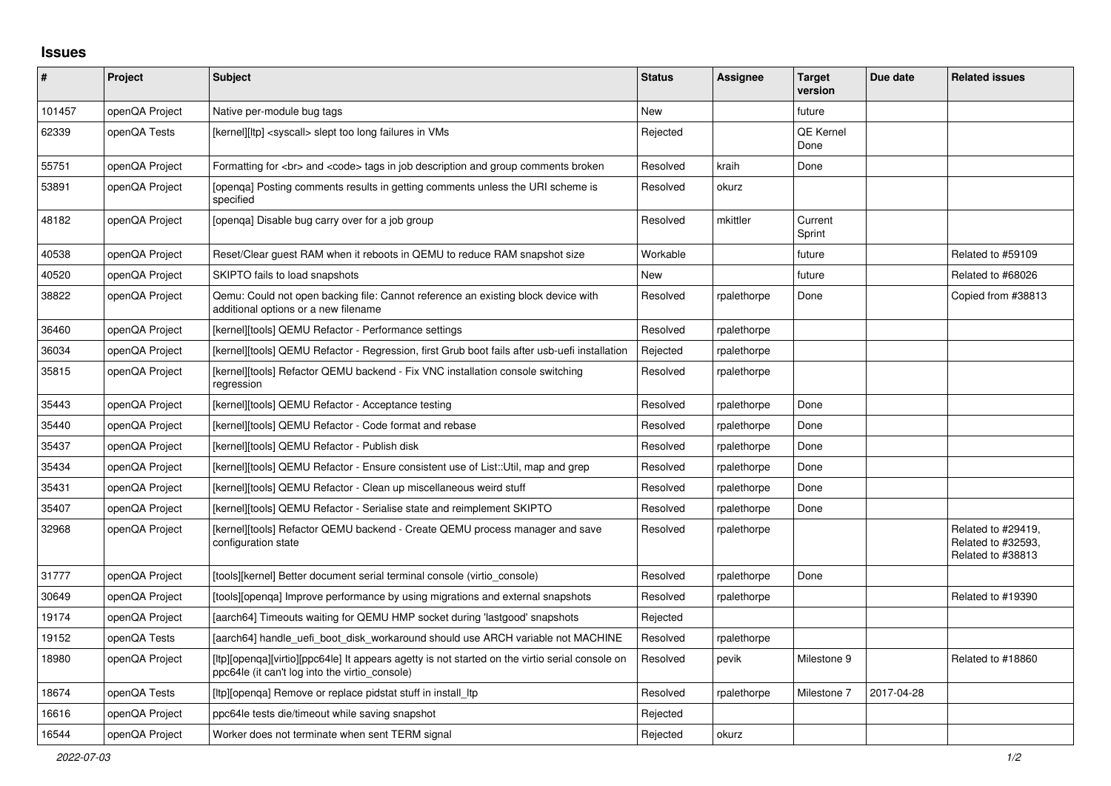## **Issues**

| #      | Project        | <b>Subject</b>                                                                                                                                    | <b>Status</b> | Assignee    | <b>Target</b><br>version | Due date   | <b>Related issues</b>                                         |
|--------|----------------|---------------------------------------------------------------------------------------------------------------------------------------------------|---------------|-------------|--------------------------|------------|---------------------------------------------------------------|
| 101457 | openQA Project | Native per-module bug tags                                                                                                                        | <b>New</b>    |             | future                   |            |                                                               |
| 62339  | openQA Tests   | [kernel][ltp] <syscall> slept too long failures in VMs</syscall>                                                                                  | Rejected      |             | QE Kernel<br>Done        |            |                                                               |
| 55751  | openQA Project | Formatting for<br>> and <code> tags in job description and group comments broken</code>                                                           | Resolved      | kraih       | Done                     |            |                                                               |
| 53891  | openQA Project | [openga] Posting comments results in getting comments unless the URI scheme is<br>specified                                                       | Resolved      | okurz       |                          |            |                                                               |
| 48182  | openQA Project | [openqa] Disable bug carry over for a job group                                                                                                   | Resolved      | mkittler    | Current<br>Sprint        |            |                                                               |
| 40538  | openQA Project | Reset/Clear guest RAM when it reboots in QEMU to reduce RAM snapshot size                                                                         | Workable      |             | future                   |            | Related to #59109                                             |
| 40520  | openQA Project | SKIPTO fails to load snapshots                                                                                                                    | <b>New</b>    |             | future                   |            | Related to #68026                                             |
| 38822  | openQA Project | Qemu: Could not open backing file: Cannot reference an existing block device with<br>additional options or a new filename                         | Resolved      | rpalethorpe | Done                     |            | Copied from #38813                                            |
| 36460  | openQA Project | [kernel][tools] QEMU Refactor - Performance settings                                                                                              | Resolved      | rpalethorpe |                          |            |                                                               |
| 36034  | openQA Project | [kernel][tools] QEMU Refactor - Regression, first Grub boot fails after usb-uefi installation                                                     | Rejected      | rpalethorpe |                          |            |                                                               |
| 35815  | openQA Project | [kernel][tools] Refactor QEMU backend - Fix VNC installation console switching<br>regression                                                      | Resolved      | rpalethorpe |                          |            |                                                               |
| 35443  | openQA Project | [kernel][tools] QEMU Refactor - Acceptance testing                                                                                                | Resolved      | rpalethorpe | Done                     |            |                                                               |
| 35440  | openQA Project | [kernel][tools] QEMU Refactor - Code format and rebase                                                                                            | Resolved      | rpalethorpe | Done                     |            |                                                               |
| 35437  | openQA Project | [kernel][tools] QEMU Refactor - Publish disk                                                                                                      | Resolved      | rpalethorpe | Done                     |            |                                                               |
| 35434  | openQA Project | [kernel][tools] QEMU Refactor - Ensure consistent use of List::Util, map and grep                                                                 | Resolved      | rpalethorpe | Done                     |            |                                                               |
| 35431  | openQA Project | [kernel][tools] QEMU Refactor - Clean up miscellaneous weird stuff                                                                                | Resolved      | rpalethorpe | Done                     |            |                                                               |
| 35407  | openQA Project | [kernel][tools] QEMU Refactor - Serialise state and reimplement SKIPTO                                                                            | Resolved      | rpalethorpe | Done                     |            |                                                               |
| 32968  | openQA Project | [kernel][tools] Refactor QEMU backend - Create QEMU process manager and save<br>configuration state                                               | Resolved      | rpalethorpe |                          |            | Related to #29419,<br>Related to #32593.<br>Related to #38813 |
| 31777  | openQA Project | [tools][kernel] Better document serial terminal console (virtio console)                                                                          | Resolved      | rpalethorpe | Done                     |            |                                                               |
| 30649  | openQA Project | [tools][openga] Improve performance by using migrations and external snapshots                                                                    | Resolved      | rpalethorpe |                          |            | Related to #19390                                             |
| 19174  | openQA Project | [aarch64] Timeouts waiting for QEMU HMP socket during 'lastgood' snapshots                                                                        | Rejected      |             |                          |            |                                                               |
| 19152  | openQA Tests   | [aarch64] handle uefi boot disk workaround should use ARCH variable not MACHINE                                                                   | Resolved      | rpalethorpe |                          |            |                                                               |
| 18980  | openQA Project | [ltp][openqa][virtio][ppc64le] It appears agetty is not started on the virtio serial console on<br>ppc64le (it can't log into the virtio_console) | Resolved      | pevik       | Milestone 9              |            | Related to #18860                                             |
| 18674  | openQA Tests   | [ltp][openqa] Remove or replace pidstat stuff in install_ltp                                                                                      | Resolved      | rpalethorpe | Milestone 7              | 2017-04-28 |                                                               |
| 16616  | openQA Project | ppc64le tests die/timeout while saving snapshot                                                                                                   | Rejected      |             |                          |            |                                                               |
| 16544  | openQA Project | Worker does not terminate when sent TERM signal                                                                                                   | Rejected      | okurz       |                          |            |                                                               |